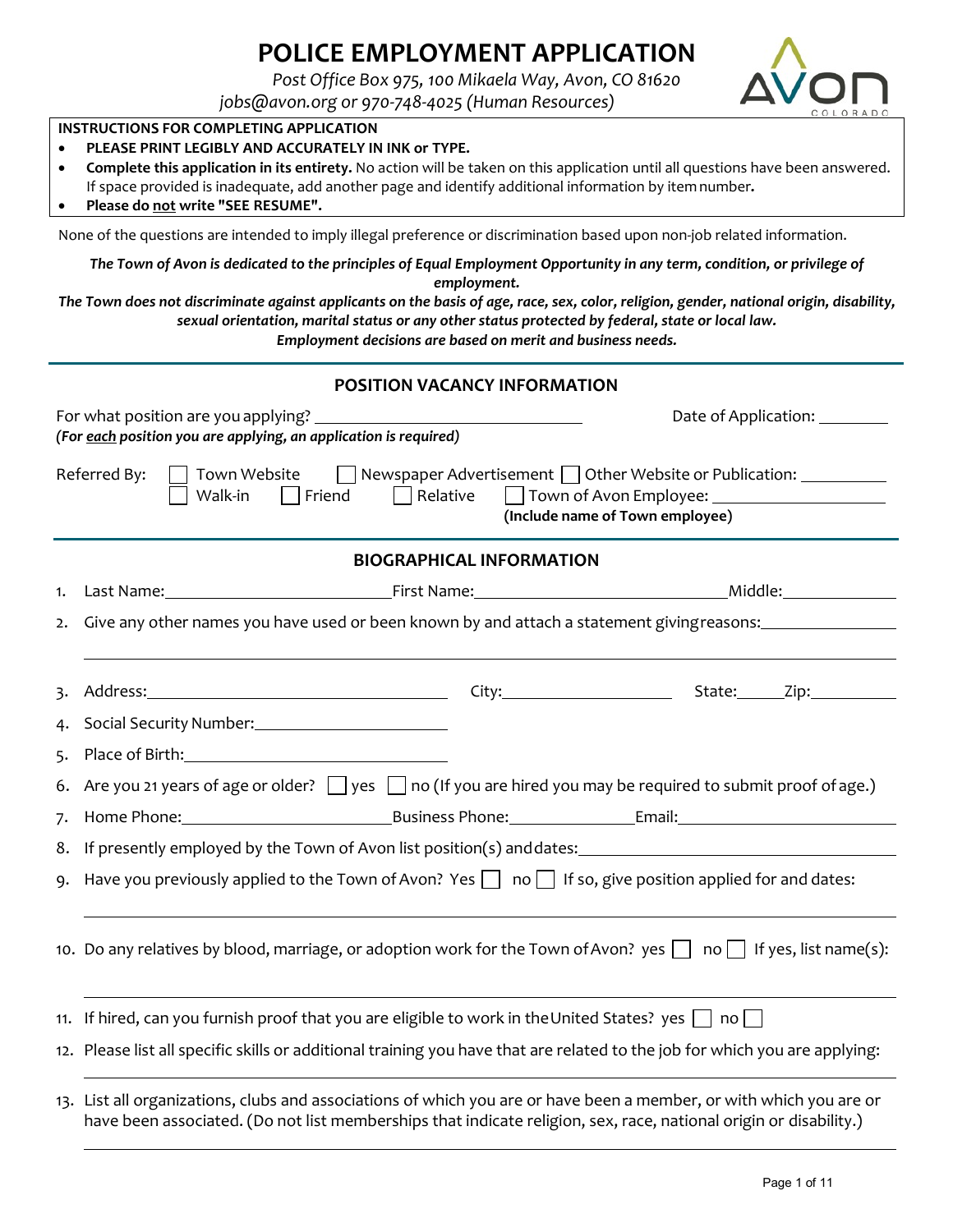# **POLICE EMPLOYMENT APPLICATION**

*Post Office Box 975, 100 Mikaela Way, Avon, CO 81620*

*[jobs@avon.org o](mailto:jobs@avon.org)r 970-748-4025 (Human Resources)*



| ٠<br>$\bullet$ | <b>INSTRUCTIONS FOR COMPLETING APPLICATION</b><br>PLEASE PRINT LEGIBLY AND ACCURATELY IN INK or TYPE.<br>Complete this application in its entirety. No action will be taken on this application until all questions have been answered.<br>If space provided is inadequate, add another page and identify additional information by item number.<br>Please do not write "SEE RESUME". |  |  |  |  |  |
|----------------|---------------------------------------------------------------------------------------------------------------------------------------------------------------------------------------------------------------------------------------------------------------------------------------------------------------------------------------------------------------------------------------|--|--|--|--|--|
|                | None of the questions are intended to imply illegal preference or discrimination based upon non-job related information.                                                                                                                                                                                                                                                              |  |  |  |  |  |
|                | The Town of Avon is dedicated to the principles of Equal Employment Opportunity in any term, condition, or privilege of<br>employment.<br>The Town does not discriminate against applicants on the basis of age, race, sex, color, religion, gender, national origin, disability,                                                                                                     |  |  |  |  |  |
|                | sexual orientation, marital status or any other status protected by federal, state or local law.<br>Employment decisions are based on merit and business needs.                                                                                                                                                                                                                       |  |  |  |  |  |
|                | POSITION VACANCY INFORMATION                                                                                                                                                                                                                                                                                                                                                          |  |  |  |  |  |
|                | Date of Application: _________                                                                                                                                                                                                                                                                                                                                                        |  |  |  |  |  |
|                | (For each position you are applying, an application is required)                                                                                                                                                                                                                                                                                                                      |  |  |  |  |  |
|                | Town Website □ Newspaper Advertisement □ Other Website or Publication: _________<br>Referred By:<br>Walk-in<br>$\Box$ Friend $\Box$ Relative<br>    Town of Avon Employee: ______________________<br>(Include name of Town employee)                                                                                                                                                  |  |  |  |  |  |
|                | <b>BIOGRAPHICAL INFORMATION</b>                                                                                                                                                                                                                                                                                                                                                       |  |  |  |  |  |
| 1.             | Last Name: Middle: Manner Manner Pirst Name: Middle: Middle: Middle: Middle: Middle: Middle: Middle: Middle: Mi                                                                                                                                                                                                                                                                       |  |  |  |  |  |
| 2.             | Give any other names you have used or been known by and attach a statement giving reasons: __________________                                                                                                                                                                                                                                                                         |  |  |  |  |  |
| 3.             | Address: Zip: Zip: City: City: City: State: Zip:                                                                                                                                                                                                                                                                                                                                      |  |  |  |  |  |
| 4.             | Social Security Number: 1997 1998                                                                                                                                                                                                                                                                                                                                                     |  |  |  |  |  |
|                | 5. Place of Birth: 2008 2010 2020 2021 2021 2022 2021 2022 2022 2022 2022 2022 2022 2022 2022 2022 2022 2022 20                                                                                                                                                                                                                                                                       |  |  |  |  |  |
|                | 6. Are you 21 years of age or older? $\Box$ yes $\Box$ no (If you are hired you may be required to submit proof of age.)                                                                                                                                                                                                                                                              |  |  |  |  |  |
|                |                                                                                                                                                                                                                                                                                                                                                                                       |  |  |  |  |  |
|                | 8. If presently employed by the Town of Avon list position(s) and dates: ___________________________                                                                                                                                                                                                                                                                                  |  |  |  |  |  |
| 9.             | Have you previously applied to the Town of Avon? Yes $\Box$ no $\Box$ If so, give position applied for and dates:                                                                                                                                                                                                                                                                     |  |  |  |  |  |
|                | 10. Do any relatives by blood, marriage, or adoption work for the Town of Avon? yes $\Box$ no $\Box$ If yes, list name(s):                                                                                                                                                                                                                                                            |  |  |  |  |  |
|                | 11. If hired, can you furnish proof that you are eligible to work in the United States? yes $\Box$ no $\Box$                                                                                                                                                                                                                                                                          |  |  |  |  |  |
|                | 12. Please list all specific skills or additional training you have that are related to the job for which you are applying:                                                                                                                                                                                                                                                           |  |  |  |  |  |
|                | 13. List all organizations, clubs and associations of which you are or have been a member, or with which you are or<br>have been associated. (Do not list memberships that indicate religion, sex, race, national origin or disability.)                                                                                                                                              |  |  |  |  |  |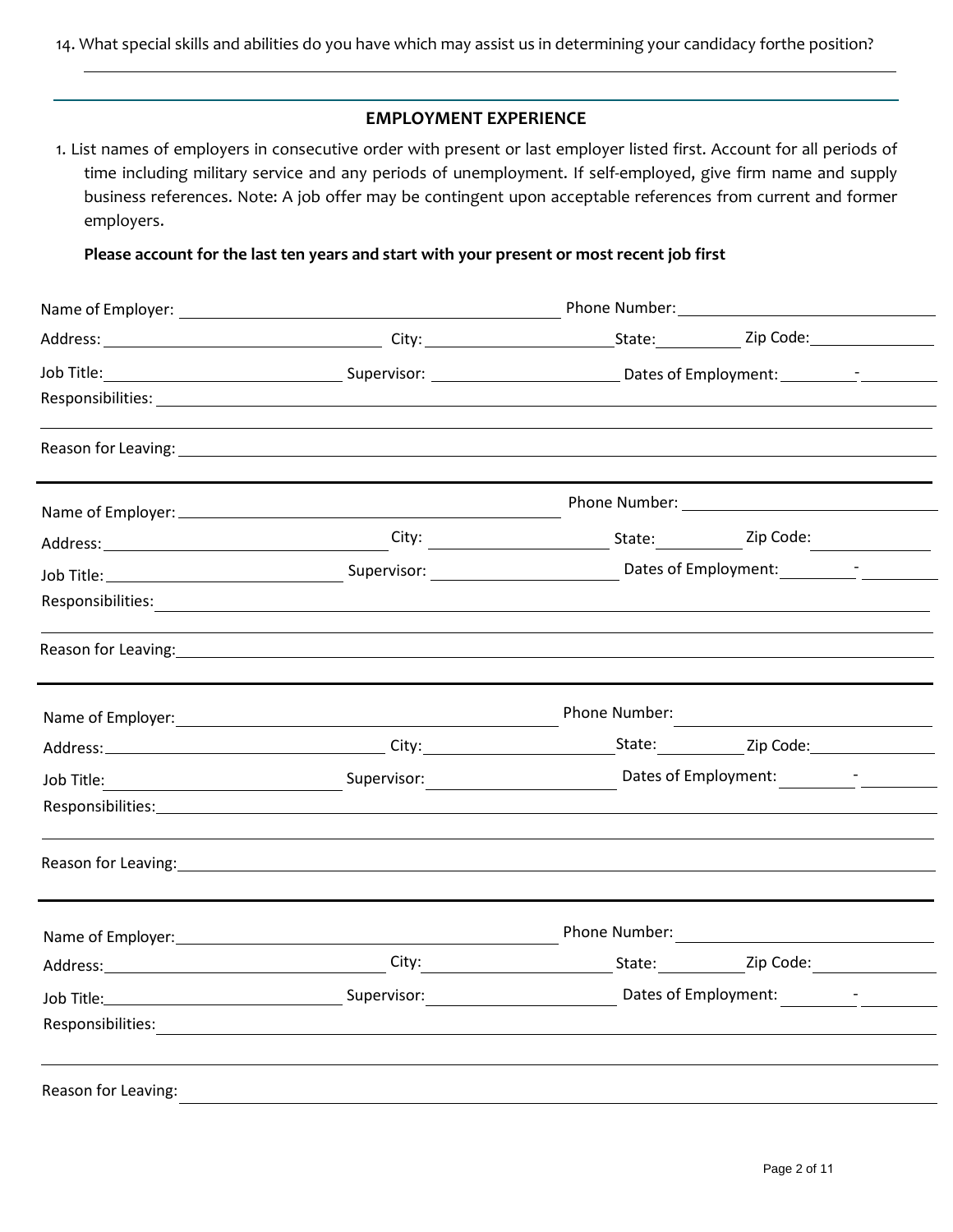14. What special skills and abilities do you have which may assist us in determining your candidacy forthe position?

#### **EMPLOYMENT EXPERIENCE**

1. List names of employers in consecutive order with present or last employer listed first. Account for all periods of time including military service and any periods of unemployment. If self-employed, give firm name and supply business references. Note: A job offer may be contingent upon acceptable references from current and former employers.

#### **Please account for the last ten years and start with your present or most recent job first**

|                     |                                                                                                                                                                                                                                | Phone Number: 1997 |  |  |  |  |
|---------------------|--------------------------------------------------------------------------------------------------------------------------------------------------------------------------------------------------------------------------------|--------------------|--|--|--|--|
|                     |                                                                                                                                                                                                                                |                    |  |  |  |  |
|                     | Job Title: 1000 Title: 2000 Communication Communication Communication Communication Communication Communication                                                                                                                |                    |  |  |  |  |
|                     |                                                                                                                                                                                                                                |                    |  |  |  |  |
|                     |                                                                                                                                                                                                                                |                    |  |  |  |  |
|                     |                                                                                                                                                                                                                                |                    |  |  |  |  |
|                     |                                                                                                                                                                                                                                |                    |  |  |  |  |
|                     |                                                                                                                                                                                                                                |                    |  |  |  |  |
|                     |                                                                                                                                                                                                                                |                    |  |  |  |  |
|                     | Reason for Leaving: 1999 Contract and the contract of the contract of the contract of the contract of the contract of the contract of the contract of the contract of the contract of the contract of the contract of the cont |                    |  |  |  |  |
|                     |                                                                                                                                                                                                                                | Phone Number:      |  |  |  |  |
|                     |                                                                                                                                                                                                                                |                    |  |  |  |  |
| Job Title:          | Supervisor: Contract Dates of Employment: Contract Dates of Employment:                                                                                                                                                        |                    |  |  |  |  |
|                     |                                                                                                                                                                                                                                |                    |  |  |  |  |
|                     | Reason for Leaving: 1999 Contract to the Contract of the Contract of the Contract of the Contract of the Contract of the Contract of the Contract of the Contract of the Contract of the Contract of the Contract of the Contr |                    |  |  |  |  |
|                     |                                                                                                                                                                                                                                |                    |  |  |  |  |
|                     |                                                                                                                                                                                                                                |                    |  |  |  |  |
|                     | Job Title: The Contract of Employment: The Contract of Employment:                                                                                                                                                             |                    |  |  |  |  |
|                     |                                                                                                                                                                                                                                |                    |  |  |  |  |
| Reason for Leaving: |                                                                                                                                                                                                                                |                    |  |  |  |  |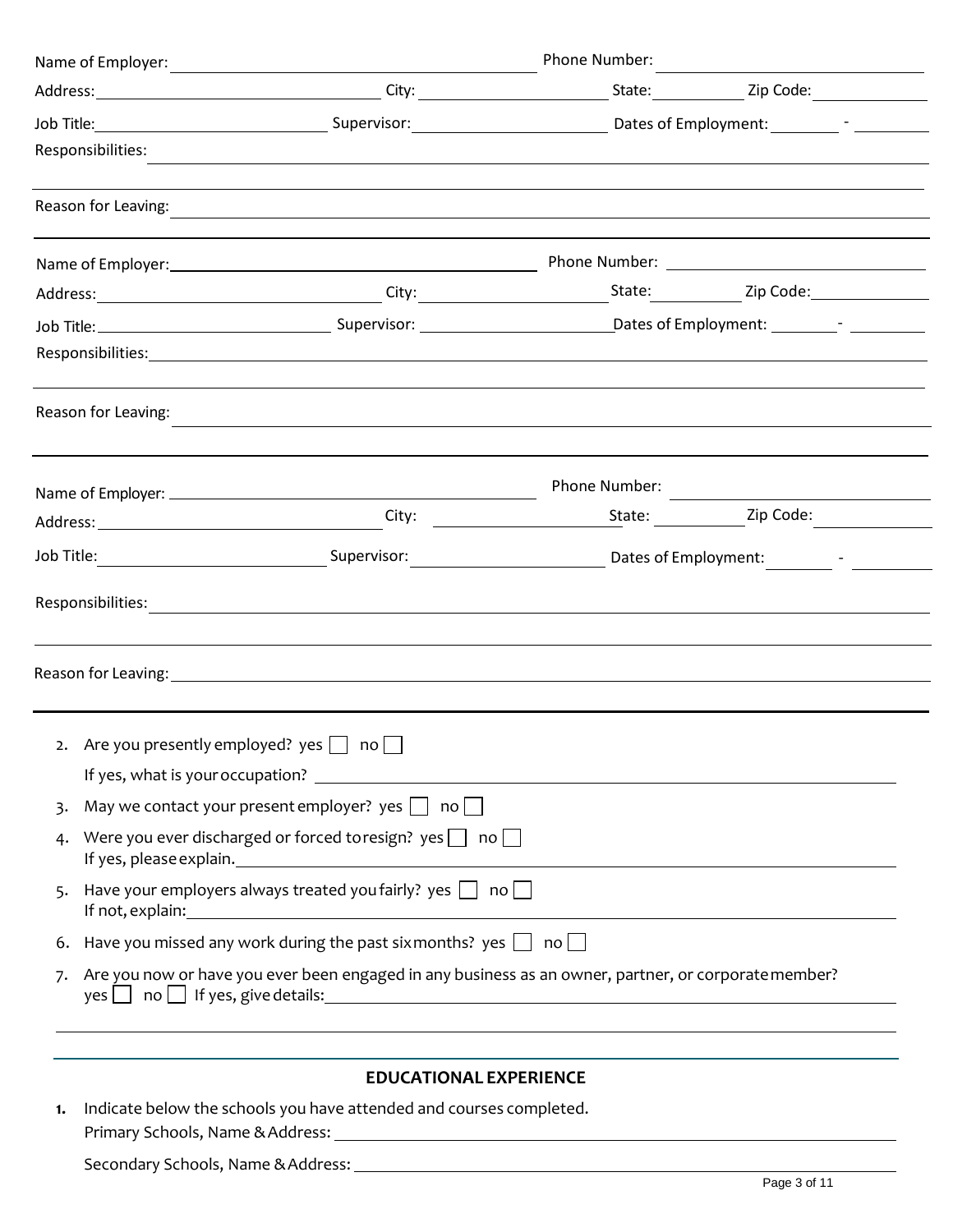|                                                                                                                                                                                            |                                                                                                                                                                                                                                | Phone Number: |               |  |  |  |
|--------------------------------------------------------------------------------------------------------------------------------------------------------------------------------------------|--------------------------------------------------------------------------------------------------------------------------------------------------------------------------------------------------------------------------------|---------------|---------------|--|--|--|
|                                                                                                                                                                                            |                                                                                                                                                                                                                                |               |               |  |  |  |
|                                                                                                                                                                                            | Job Title: 1990 11: 1991 Community Supervisor: Community Community Community Community Community Community Comm                                                                                                                |               |               |  |  |  |
|                                                                                                                                                                                            | Responsibilities:                                                                                                                                                                                                              |               |               |  |  |  |
|                                                                                                                                                                                            | Reason for Leaving: example and the contract of the contract of the contract of the contract of the contract of the contract of the contract of the contract of the contract of the contract of the contract of the contract o |               |               |  |  |  |
|                                                                                                                                                                                            | Name of Employer: 1990 1990 1991 Phone Number: 2008 2010 1991 2010 1991 Phone Number: 2008 2010 1991 2010 1991                                                                                                                 |               |               |  |  |  |
|                                                                                                                                                                                            |                                                                                                                                                                                                                                |               |               |  |  |  |
|                                                                                                                                                                                            |                                                                                                                                                                                                                                |               |               |  |  |  |
|                                                                                                                                                                                            |                                                                                                                                                                                                                                |               |               |  |  |  |
|                                                                                                                                                                                            | Reason for Leaving:                                                                                                                                                                                                            |               |               |  |  |  |
|                                                                                                                                                                                            |                                                                                                                                                                                                                                |               | Phone Number: |  |  |  |
|                                                                                                                                                                                            |                                                                                                                                                                                                                                |               |               |  |  |  |
|                                                                                                                                                                                            |                                                                                                                                                                                                                                |               |               |  |  |  |
|                                                                                                                                                                                            |                                                                                                                                                                                                                                |               |               |  |  |  |
|                                                                                                                                                                                            | Reason for Leaving: 1999 Contract Contract Contract Contract Contract Contract Contract Contract Contract Contract Contract Contract Contract Contract Contract Contract Contract Contract Contract Contract Contract Contract |               |               |  |  |  |
|                                                                                                                                                                                            | 2. Are you presently employed? yes $\Box$ no $\Box$                                                                                                                                                                            |               |               |  |  |  |
|                                                                                                                                                                                            |                                                                                                                                                                                                                                |               |               |  |  |  |
| 3.                                                                                                                                                                                         | May we contact your present employer? yes $\Box$ no $\Box$                                                                                                                                                                     |               |               |  |  |  |
| Were you ever discharged or forced to resign? yes $\Box$ no $\Box$<br>4.                                                                                                                   |                                                                                                                                                                                                                                |               |               |  |  |  |
| Have your employers always treated you fairly? yes $\Box$ no $\Box$<br>5.                                                                                                                  |                                                                                                                                                                                                                                |               |               |  |  |  |
|                                                                                                                                                                                            |                                                                                                                                                                                                                                |               |               |  |  |  |
| 6. Have you missed any work during the past six months? yes $\Box$ no $\Box$<br>Are you now or have you ever been engaged in any business as an owner, partner, or corporate member?<br>7. |                                                                                                                                                                                                                                |               |               |  |  |  |

# **EDUCATIONAL EXPERIENCE**

| 1. Indicate below the schools you have attended and courses completed. |
|------------------------------------------------------------------------|
| Primary Schools, Name & Address:                                       |

Secondary Schools, Name &Address:

L,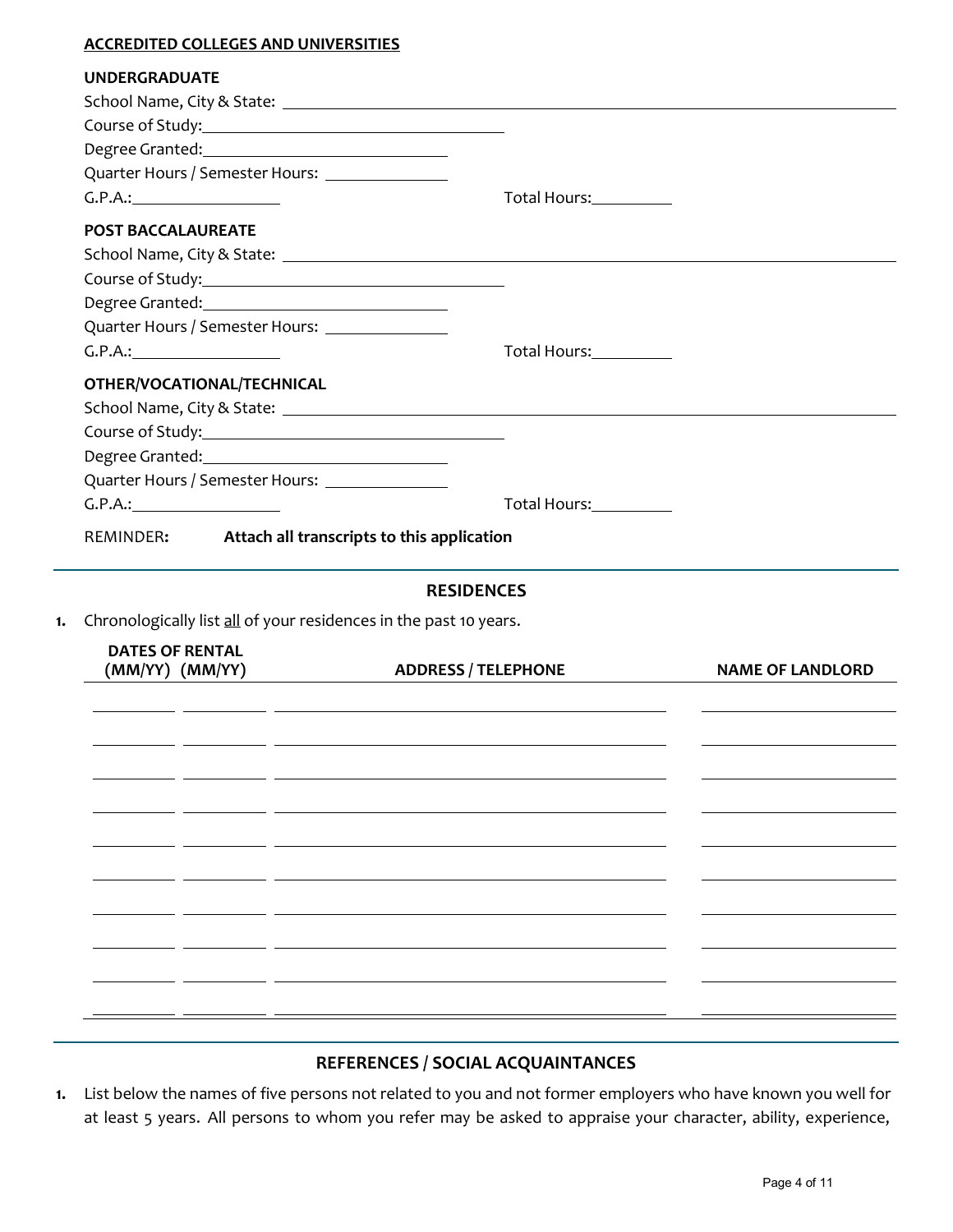# **ACCREDITED COLLEGES AND UNIVERSITIES**

| <b>UNDERGRADUATE</b>                                                    |                                                                                                                      |                         |
|-------------------------------------------------------------------------|----------------------------------------------------------------------------------------------------------------------|-------------------------|
|                                                                         |                                                                                                                      |                         |
|                                                                         |                                                                                                                      |                         |
|                                                                         |                                                                                                                      |                         |
| Quarter Hours / Semester Hours: _______________                         |                                                                                                                      |                         |
| G.P.A.:                                                                 | Total Hours:__________                                                                                               |                         |
| <b>POST BACCALAUREATE</b>                                               |                                                                                                                      |                         |
|                                                                         |                                                                                                                      |                         |
| Course of Study: <u>course of Study:</u>                                |                                                                                                                      |                         |
| Degree Granted: <u>_________________________________</u>                |                                                                                                                      |                         |
| Quarter Hours / Semester Hours: _______________                         |                                                                                                                      |                         |
| G.P.A.:                                                                 | Total Hours:__________                                                                                               |                         |
| OTHER/VOCATIONAL/TECHNICAL                                              |                                                                                                                      |                         |
|                                                                         |                                                                                                                      |                         |
| Course of Study: <u>course of Study:</u>                                |                                                                                                                      |                         |
| Degree Granted: <u>__________________________________</u>               |                                                                                                                      |                         |
| Quarter Hours / Semester Hours: _______________                         |                                                                                                                      |                         |
| G.P.A.:                                                                 | Total Hours: 1997                                                                                                    |                         |
| REMINDER:                                                               | Attach all transcripts to this application                                                                           |                         |
|                                                                         | <b>RESIDENCES</b>                                                                                                    |                         |
| Chronologically list all of your residences in the past 10 years.<br>1. |                                                                                                                      |                         |
| <b>DATES OF RENTAL</b>                                                  |                                                                                                                      |                         |
| (MM/YY) (MM/YY)                                                         | <b>ADDRESS / TELEPHONE</b>                                                                                           | <b>NAME OF LANDLORD</b> |
|                                                                         |                                                                                                                      |                         |
|                                                                         |                                                                                                                      |                         |
|                                                                         | <u> 1999 - Johann Stoff, skriuwer en de staatskilder op de staatskilder op de staatskilder op de staatskilder op</u> |                         |
|                                                                         |                                                                                                                      |                         |
|                                                                         |                                                                                                                      |                         |
|                                                                         |                                                                                                                      |                         |
|                                                                         |                                                                                                                      |                         |
|                                                                         |                                                                                                                      |                         |
|                                                                         |                                                                                                                      |                         |
|                                                                         |                                                                                                                      |                         |
|                                                                         |                                                                                                                      |                         |
|                                                                         |                                                                                                                      |                         |
|                                                                         |                                                                                                                      |                         |
|                                                                         |                                                                                                                      |                         |

# **REFERENCES / SOCIAL ACQUAINTANCES**

**1.** List below the names of five persons not related to you and not former employers who have known you well for at least 5 years. All persons to whom you refer may be asked to appraise your character, ability, experience,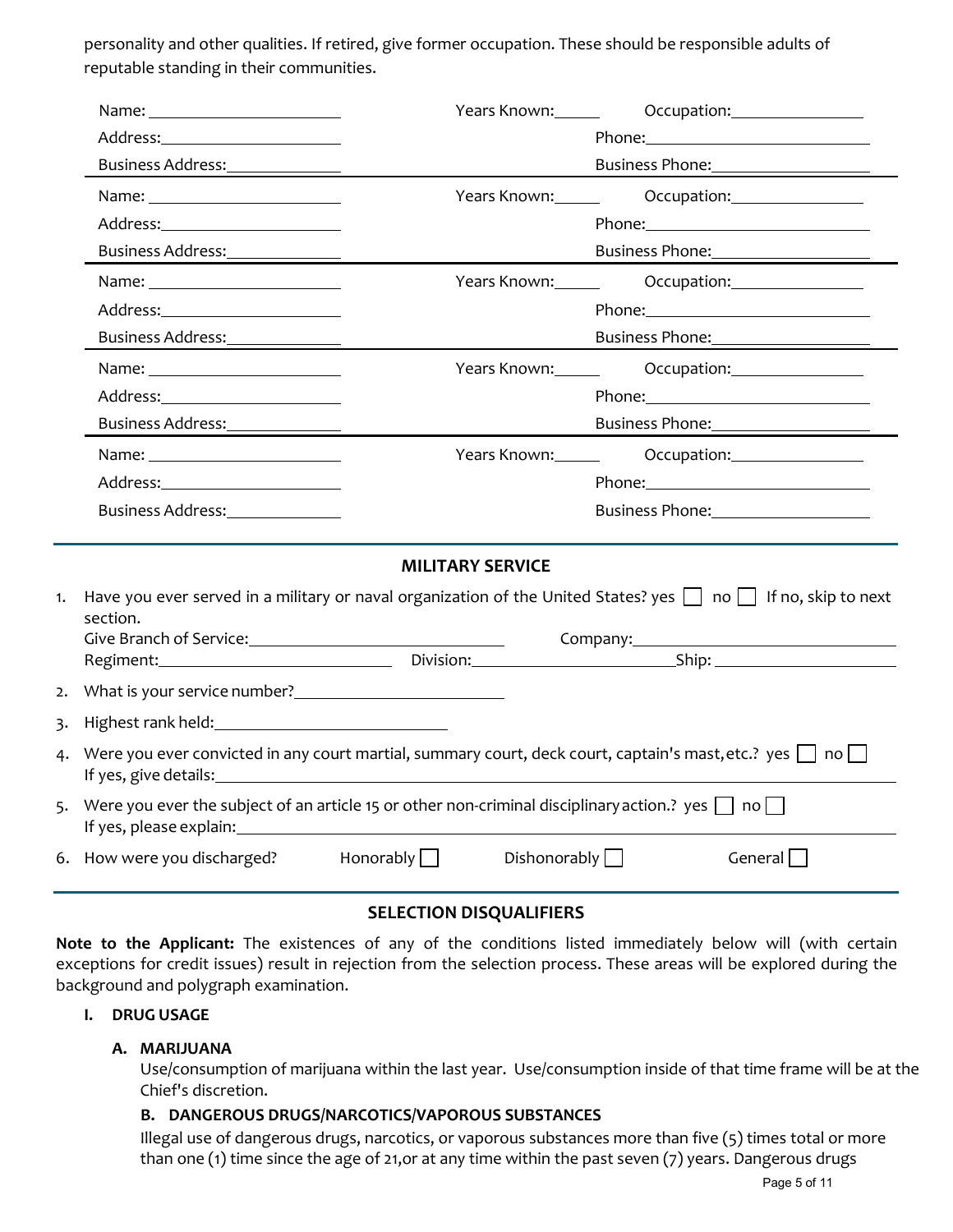personality and other qualities. If retired, give former occupation. These should be responsible adults of reputable standing in their communities.

|    |                                                                                                                                                                                                                                                                                                                                               |                         | Years Known: 1997   | Occupation: 2000                       |           |
|----|-----------------------------------------------------------------------------------------------------------------------------------------------------------------------------------------------------------------------------------------------------------------------------------------------------------------------------------------------|-------------------------|---------------------|----------------------------------------|-----------|
|    |                                                                                                                                                                                                                                                                                                                                               |                         |                     |                                        |           |
|    | Business Address: March 2014                                                                                                                                                                                                                                                                                                                  |                         |                     | Business Phone: 2008                   |           |
|    |                                                                                                                                                                                                                                                                                                                                               |                         |                     | Years Known: Cocupation:               |           |
|    |                                                                                                                                                                                                                                                                                                                                               |                         |                     | Phone: 2008                            |           |
|    | Business Address:________________                                                                                                                                                                                                                                                                                                             |                         |                     | Business Phone:_____________________   |           |
|    |                                                                                                                                                                                                                                                                                                                                               |                         |                     | Years Known: Cocupation:               |           |
|    |                                                                                                                                                                                                                                                                                                                                               |                         |                     |                                        |           |
|    | Business Address:_______________                                                                                                                                                                                                                                                                                                              |                         |                     | Business Phone: ______________________ |           |
|    | Name: ____________________________                                                                                                                                                                                                                                                                                                            |                         |                     | Years Known: Cocupation:               |           |
|    |                                                                                                                                                                                                                                                                                                                                               |                         |                     |                                        |           |
|    | Business Address:_______________                                                                                                                                                                                                                                                                                                              |                         |                     |                                        |           |
|    | Name: ___________________________                                                                                                                                                                                                                                                                                                             |                         |                     | Years Known: Cocupation:               |           |
|    | Address:__________________________                                                                                                                                                                                                                                                                                                            |                         |                     |                                        |           |
|    | Business Address:_______________                                                                                                                                                                                                                                                                                                              |                         |                     |                                        |           |
|    |                                                                                                                                                                                                                                                                                                                                               | <b>MILITARY SERVICE</b> |                     |                                        |           |
| 1. | Have you ever served in a military or naval organization of the United States? yes $\Box$ no $\Box$ If no, skip to next<br>section.                                                                                                                                                                                                           |                         |                     |                                        |           |
|    |                                                                                                                                                                                                                                                                                                                                               |                         |                     |                                        |           |
|    |                                                                                                                                                                                                                                                                                                                                               |                         |                     | Division: Ship: Ship:                  |           |
| 2. | What is your service number?<br><u> </u>                                                                                                                                                                                                                                                                                                      |                         |                     |                                        |           |
| 3. | Highest rank held: National Assemblance of the Manuscript of the Manuscript of the Manuscript of the Manuscrip                                                                                                                                                                                                                                |                         |                     |                                        |           |
| 4. | Were you ever convicted in any court martial, summary court, deck court, captain's mast, etc.? yes $\Box$ no $\Box$                                                                                                                                                                                                                           |                         |                     |                                        |           |
| 5. | Were you ever the subject of an article 15 or other non-criminal disciplinary action.? yes $\Box$ no $\Box$<br>If yes, please explain: 150 million and the set of year and the set of year and the set of years and the set of years and the set of years and year and year and year and year and year and year and year and year and year an |                         |                     |                                        |           |
|    | 6. How were you discharged?                                                                                                                                                                                                                                                                                                                   | Honorably $\Box$        | Dishonorably $\Box$ |                                        | $General$ |
|    |                                                                                                                                                                                                                                                                                                                                               |                         |                     |                                        |           |

# **SELECTION DISQUALIFIERS**

**Note to the Applicant:** The existences of any of the conditions listed immediately below will (with certain exceptions for credit issues) result in rejection from the selection process. These areas will be explored during the background and polygraph examination.

#### **I. DRUG USAGE**

#### **A. MARIJUANA**

Use/consumption of marijuana within the last year. Use/consumption inside of that time frame will be at the Chief's discretion.

#### **B. DANGEROUS DRUGS/NARCOTICS/VAPOROUS SUBSTANCES**

Illegal use of dangerous drugs, narcotics, or vaporous substances more than five (5) times total or more than one (1) time since the age of 21,or at any time within the past seven (7) years. Dangerous drugs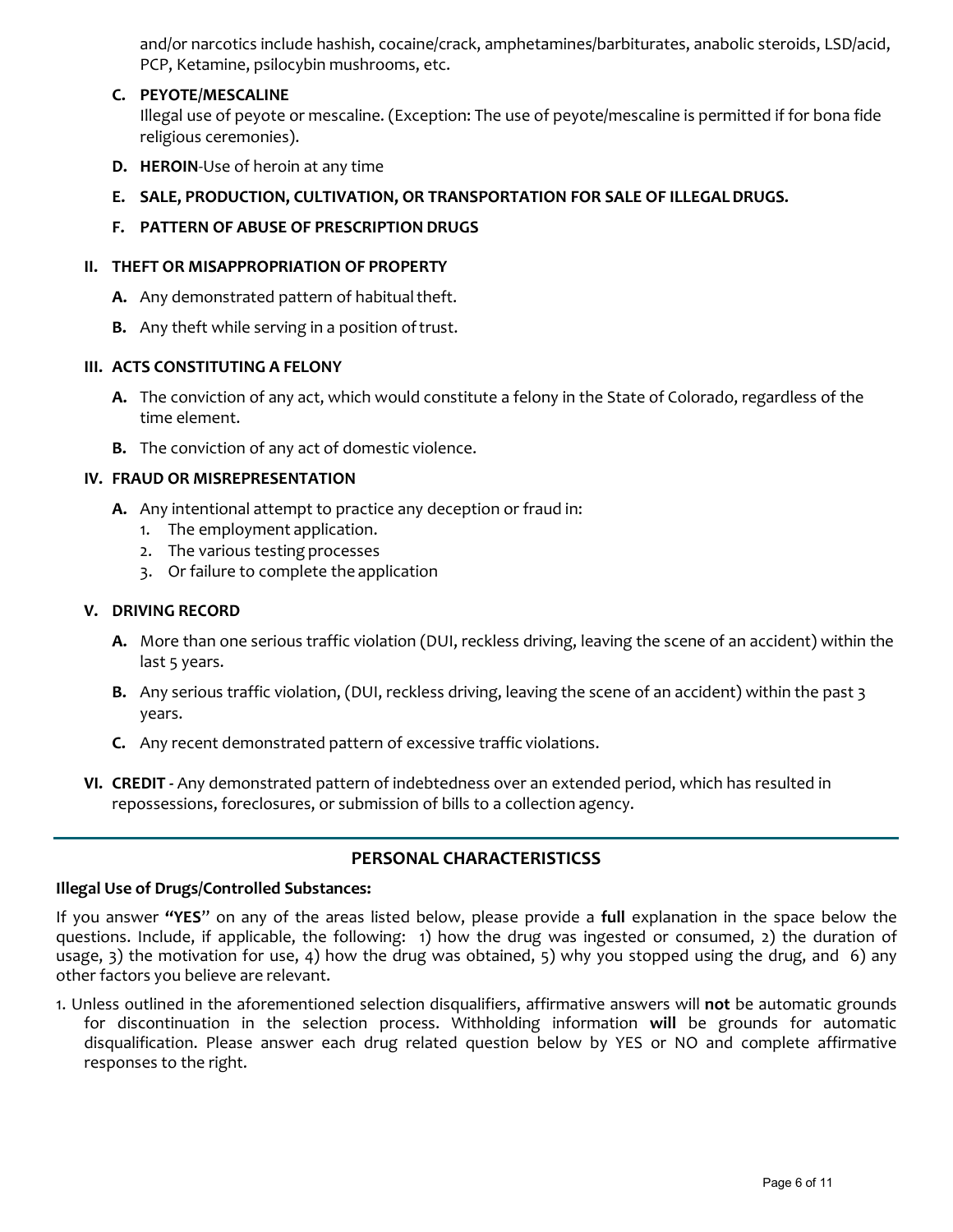and/or narcotics include hashish, cocaine/crack, amphetamines/barbiturates, anabolic steroids, LSD/acid, PCP, Ketamine, psilocybin mushrooms, etc.

#### **C. PEYOTE/MESCALINE**

Illegal use of peyote or mescaline. (Exception: The use of peyote/mescaline is permitted if for bona fide religious ceremonies).

- **D. HEROIN**-Use of heroin at any time
- **E. SALE, PRODUCTION, CULTIVATION, OR TRANSPORTATION FOR SALE OF ILLEGALDRUGS.**
- **F. PATTERN OF ABUSE OF PRESCRIPTION DRUGS**

#### **II. THEFT OR MISAPPROPRIATION OF PROPERTY**

- A. Any demonstrated pattern of habitual theft.
- **B.** Any theft while serving in a position of trust.

#### **III. ACTS CONSTITUTING A FELONY**

- **A.** The conviction of any act, which would constitute a felony in the State of Colorado, regardless of the time element.
- **B.** The conviction of any act of domestic violence.

#### **IV. FRAUD OR MISREPRESENTATION**

- **A.** Any intentional attempt to practice any deception or fraud in:
	- 1. The employment application.
	- 2. The various testing processes
	- 3. Or failure to complete the application

#### **V. DRIVING RECORD**

- **A.** More than one serious traffic violation (DUI, reckless driving, leaving the scene of an accident) within the last 5 years.
- **B.** Any serious traffic violation, (DUI, reckless driving, leaving the scene of an accident) within the past 3 years.
- **C.** Any recent demonstrated pattern of excessive traffic violations.
- **VI. CREDIT** Any demonstrated pattern of indebtedness over an extended period, which has resulted in repossessions, foreclosures, or submission of bills to a collection agency.

# **PERSONAL CHARACTERISTICSS**

#### **Illegal Use of Drugs/Controlled Substances:**

If you answer **"YES**" on any of the areas listed below, please provide a **full** explanation in the space below the questions. Include, if applicable, the following: 1) how the drug was ingested or consumed, 2) the duration of usage, 3) the motivation for use, 4) how the drug was obtained, 5) why you stopped using the drug, and 6) any other factors you believe are relevant.

1. Unless outlined in the aforementioned selection disqualifiers, affirmative answers will **not** be automatic grounds for discontinuation in the selection process. Withholding information **will** be grounds for automatic disqualification. Please answer each drug related question below by YES or NO and complete affirmative responses to the right.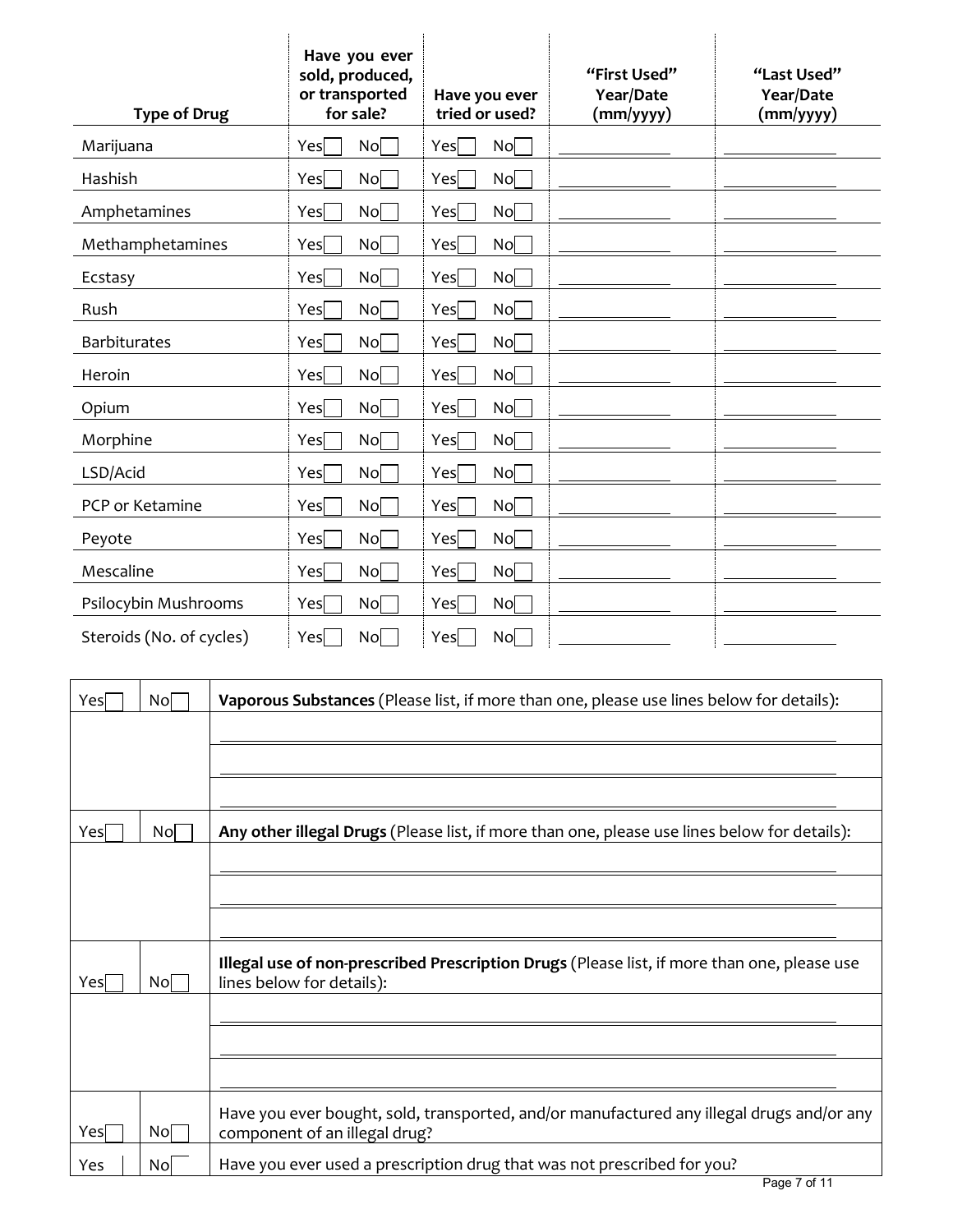| <b>Type of Drug</b>      | Have you ever<br>sold, produced,<br>or transported<br>for sale? | Have you ever<br>tried or used? | "First Used"<br>Year/Date<br>(mm/yyyy) | "Last Used"<br>Year/Date<br>(mm/yyyy) |
|--------------------------|-----------------------------------------------------------------|---------------------------------|----------------------------------------|---------------------------------------|
| Marijuana                | No <sub>1</sub><br>Yes                                          | No <sub>1</sub><br>Yes          |                                        |                                       |
| Hashish                  | No <sub>1</sub><br>Yes                                          | No<br>Yes                       |                                        |                                       |
| Amphetamines             | No <sub>l</sub><br>Yes                                          | No <sub>l</sub><br>Yes          |                                        |                                       |
| Methamphetamines         | No <sub>1</sub><br>Yes                                          | No<br>Yes                       |                                        |                                       |
| Ecstasy                  | No <sub>l</sub><br>Yes                                          | No<br>Yes                       |                                        |                                       |
| Rush                     | No <sub>1</sub><br>Yes                                          | No <sub>l</sub><br>Yes          |                                        |                                       |
| <b>Barbiturates</b>      | Yes<br>No                                                       | No<br>Yes                       |                                        |                                       |
| Heroin                   | No<br>Yes                                                       | No<br>Yes                       |                                        |                                       |
| Opium                    | No <sub>1</sub><br>Yes                                          | No<br>Yes                       |                                        |                                       |
| Morphine                 | No<br>Yes                                                       | No<br>Yes                       |                                        |                                       |
| LSD/Acid                 | No <sub>1</sub><br>Yes                                          | Yes<br><b>No</b>                |                                        |                                       |
| PCP or Ketamine          | No <sub>1</sub><br>Yes                                          | No<br>Yes                       |                                        |                                       |
| Peyote                   | No <sub>1</sub><br>Yes                                          | No <sub>1</sub><br>Yes          |                                        |                                       |
| Mescaline                | Yes<br>No                                                       | No <sub>1</sub><br>Yes          |                                        |                                       |
| Psilocybin Mushrooms     | No<br>Yes                                                       | No<br>Yes                       |                                        |                                       |
| Steroids (No. of cycles) | No<br>Yes                                                       | No<br>Yes                       |                                        |                                       |

| Yes | No              | Vaporous Substances (Please list, if more than one, please use lines below for details):                                   |
|-----|-----------------|----------------------------------------------------------------------------------------------------------------------------|
|     |                 |                                                                                                                            |
|     |                 |                                                                                                                            |
|     |                 |                                                                                                                            |
| Yes | No <sub>l</sub> | Any other illegal Drugs (Please list, if more than one, please use lines below for details):                               |
|     |                 |                                                                                                                            |
|     |                 |                                                                                                                            |
|     |                 |                                                                                                                            |
| Yes | No              | Illegal use of non-prescribed Prescription Drugs (Please list, if more than one, please use<br>lines below for details):   |
|     |                 |                                                                                                                            |
|     |                 |                                                                                                                            |
|     |                 |                                                                                                                            |
| Yes | No              | Have you ever bought, sold, transported, and/or manufactured any illegal drugs and/or any<br>component of an illegal drug? |
| Yes | Nol             | Have you ever used a prescription drug that was not prescribed for you?                                                    |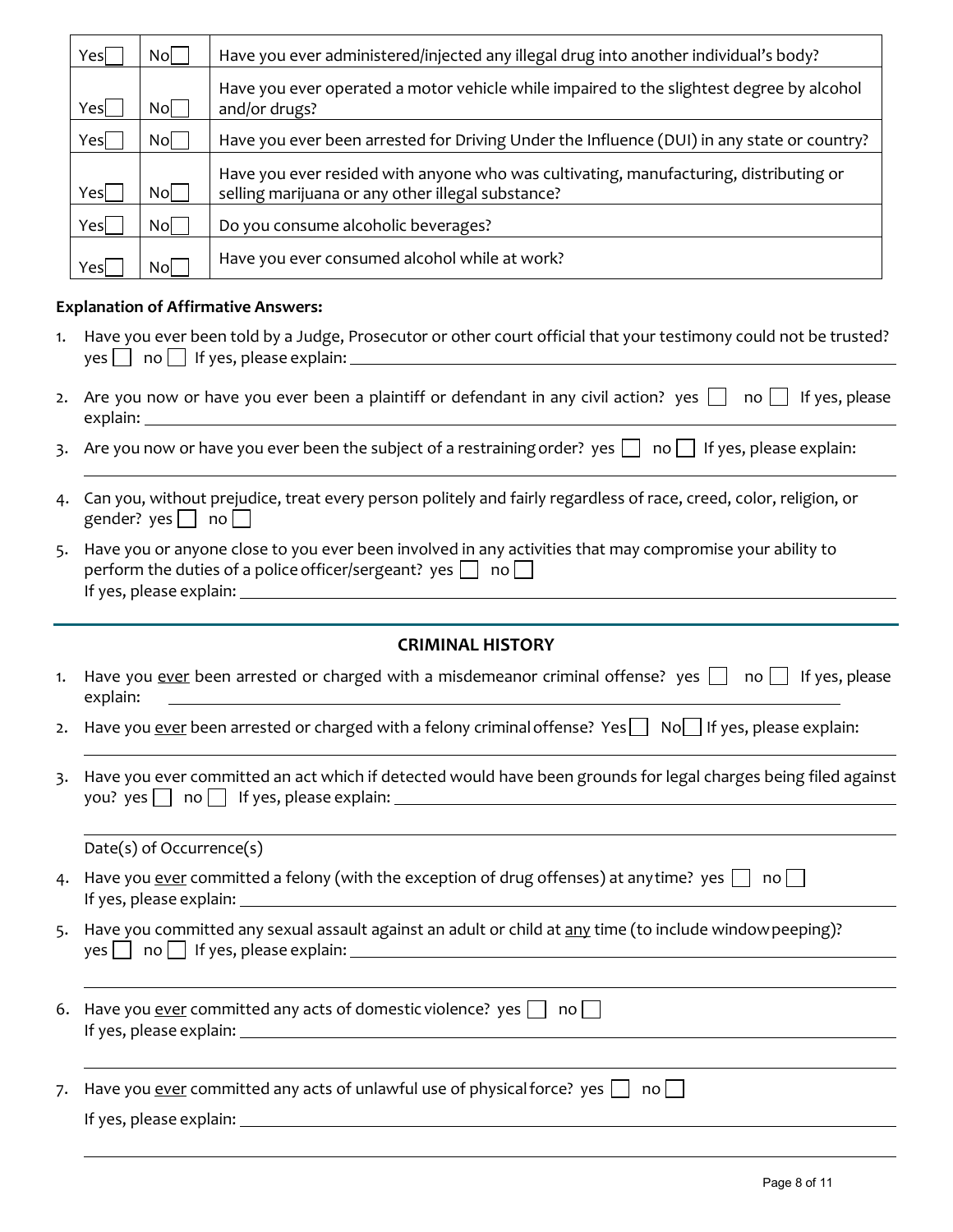|    | Yes                                                                                                                                                                               | No                       | Have you ever administered/injected any illegal drug into another individual's body?                                                       |  |  |  |  |
|----|-----------------------------------------------------------------------------------------------------------------------------------------------------------------------------------|--------------------------|--------------------------------------------------------------------------------------------------------------------------------------------|--|--|--|--|
|    | Yes                                                                                                                                                                               | No                       | Have you ever operated a motor vehicle while impaired to the slightest degree by alcohol<br>and/or drugs?                                  |  |  |  |  |
|    | Yes                                                                                                                                                                               | No                       | Have you ever been arrested for Driving Under the Influence (DUI) in any state or country?                                                 |  |  |  |  |
|    | Yes                                                                                                                                                                               | No                       | Have you ever resided with anyone who was cultivating, manufacturing, distributing or<br>selling marijuana or any other illegal substance? |  |  |  |  |
|    | Yes                                                                                                                                                                               | No                       | Do you consume alcoholic beverages?                                                                                                        |  |  |  |  |
|    | Yes                                                                                                                                                                               | No                       | Have you ever consumed alcohol while at work?                                                                                              |  |  |  |  |
|    |                                                                                                                                                                                   |                          | <b>Explanation of Affirmative Answers:</b>                                                                                                 |  |  |  |  |
| 1. |                                                                                                                                                                                   |                          | Have you ever been told by a Judge, Prosecutor or other court official that your testimony could not be trusted?                           |  |  |  |  |
| 2. |                                                                                                                                                                                   |                          | Are you now or have you ever been a plaintiff or defendant in any civil action? yes $\Box$ no $\Box$ If yes, please                        |  |  |  |  |
| 3. |                                                                                                                                                                                   |                          | Are you now or have you ever been the subject of a restraining order? yes $\Box$ no $\Box$ If yes, please explain:                         |  |  |  |  |
| 4. | Can you, without prejudice, treat every person politely and fairly regardless of race, creed, color, religion, or<br>gender? $yes \mid$ no $\mid$                                 |                          |                                                                                                                                            |  |  |  |  |
| 5. | Have you or anyone close to you ever been involved in any activities that may compromise your ability to<br>perform the duties of a police officer/sergeant? yes $\Box$ no $\Box$ |                          |                                                                                                                                            |  |  |  |  |
|    |                                                                                                                                                                                   |                          | <b>CRIMINAL HISTORY</b>                                                                                                                    |  |  |  |  |
|    | explain:                                                                                                                                                                          |                          | 1. Have you ever been arrested or charged with a misdemeanor criminal offense? yes     no     If yes, please                               |  |  |  |  |
| 2. |                                                                                                                                                                                   |                          | Have you ever been arrested or charged with a felony criminal offense? Yes $\Box$ No $\Box$ If yes, please explain:                        |  |  |  |  |
| 3. |                                                                                                                                                                                   |                          | Have you ever committed an act which if detected would have been grounds for legal charges being filed against                             |  |  |  |  |
|    |                                                                                                                                                                                   | Date(s) of Occurrence(s) |                                                                                                                                            |  |  |  |  |
| 4. | Have you ever committed a felony (with the exception of drug offenses) at any time? yes $\Box$ no $\Box$                                                                          |                          |                                                                                                                                            |  |  |  |  |
| 5. |                                                                                                                                                                                   |                          | Have you committed any sexual assault against an adult or child at any time (to include window peeping)?                                   |  |  |  |  |
| 6. |                                                                                                                                                                                   |                          | Have you <u>ever</u> committed any acts of domestic violence? yes no                                                                       |  |  |  |  |
| 7. |                                                                                                                                                                                   |                          | Have you <u>ever</u> committed any acts of unlawful use of physical force? yes $\Box$<br>no                                                |  |  |  |  |

|  |  |  | If yes, please explain: |  |  |
|--|--|--|-------------------------|--|--|
|--|--|--|-------------------------|--|--|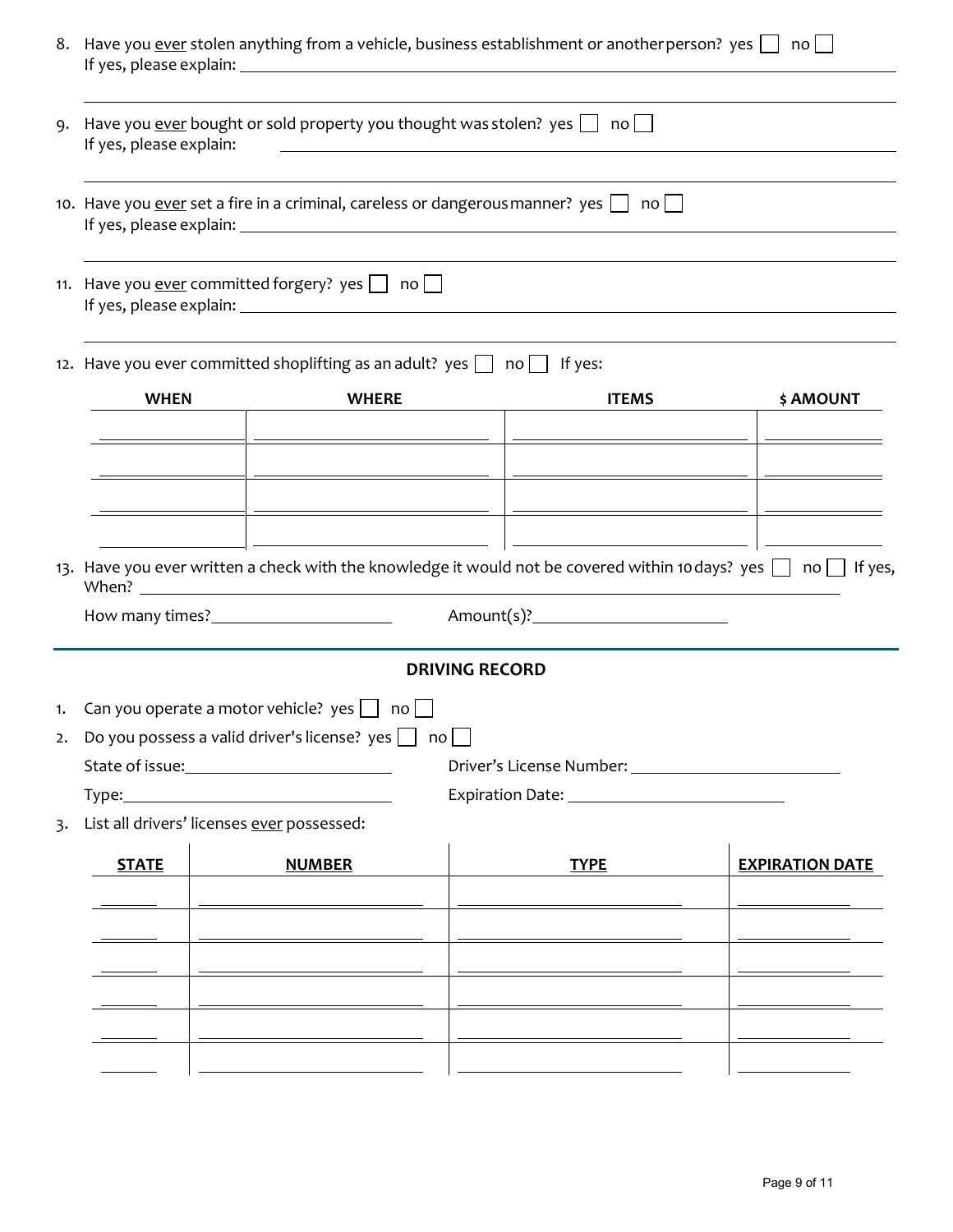|    | 8. Have you <u>ever</u> stolen anything from a vehicle, business establishment or another person? yes $\Box$ no $\Box$                                                                                                                       |                                                                                                                                                                                                                                      |              |                                                                                                                                                                                                                                                   |                          |  |  |
|----|----------------------------------------------------------------------------------------------------------------------------------------------------------------------------------------------------------------------------------------------|--------------------------------------------------------------------------------------------------------------------------------------------------------------------------------------------------------------------------------------|--------------|---------------------------------------------------------------------------------------------------------------------------------------------------------------------------------------------------------------------------------------------------|--------------------------|--|--|
| 9. | Have you <u>ever</u> bought or sold property you thought was stolen? yes $\Box$ no $\Box$<br>If yes, please explain:<br><u> 1989 - Andrea Barbara, poeta esperanto-poeta esperanto-poeta esperanto-poeta esperanto-poeta esperanto-poeta</u> |                                                                                                                                                                                                                                      |              |                                                                                                                                                                                                                                                   |                          |  |  |
|    | 10. Have you ever set a fire in a criminal, careless or dangerous manner? yes $\Box$ no $\Box$                                                                                                                                               |                                                                                                                                                                                                                                      |              |                                                                                                                                                                                                                                                   |                          |  |  |
|    |                                                                                                                                                                                                                                              | 11. Have you <u>ever</u> committed forgery? yes $\Box$ no $\Box$                                                                                                                                                                     |              |                                                                                                                                                                                                                                                   |                          |  |  |
|    |                                                                                                                                                                                                                                              | 12. Have you ever committed shoplifting as an adult? yes $\Box$ no $\Box$ If yes:                                                                                                                                                    |              |                                                                                                                                                                                                                                                   |                          |  |  |
|    | <b>WHEN</b>                                                                                                                                                                                                                                  |                                                                                                                                                                                                                                      | <b>WHERE</b> | <b>ITEMS</b>                                                                                                                                                                                                                                      | <b>\$ AMOUNT</b>         |  |  |
|    |                                                                                                                                                                                                                                              |                                                                                                                                                                                                                                      |              |                                                                                                                                                                                                                                                   |                          |  |  |
|    |                                                                                                                                                                                                                                              |                                                                                                                                                                                                                                      |              | the contract of the contract of the contract of the contract of the contract of                                                                                                                                                                   | $\overline{\phantom{0}}$ |  |  |
|    |                                                                                                                                                                                                                                              |                                                                                                                                                                                                                                      |              | $\overline{\phantom{0}}$                                                                                                                                                                                                                          |                          |  |  |
|    |                                                                                                                                                                                                                                              | When? <u>International Contract Contract Contract Contract Contract Contract Contract Contract Contract Contract Contract Contract Contract Contract Contract Contract Contract Contract Contract Contract Contract Contract Con</u> |              | <u> 1989 - Andrea Barbara, poeta esperanto-poeta esperanto-poeta esperanto-poeta esperanto-poeta esperanto-poeta</u><br>13. Have you ever written a check with the knowledge it would not be covered within 10 days? yes $\Box$ no $\Box$ If yes, |                          |  |  |
|    |                                                                                                                                                                                                                                              |                                                                                                                                                                                                                                      |              |                                                                                                                                                                                                                                                   |                          |  |  |
|    |                                                                                                                                                                                                                                              |                                                                                                                                                                                                                                      |              | <b>DRIVING RECORD</b>                                                                                                                                                                                                                             |                          |  |  |
|    |                                                                                                                                                                                                                                              | 1. Can you operate a motor vehicle? yes $\Box$ no $\Box$                                                                                                                                                                             |              |                                                                                                                                                                                                                                                   |                          |  |  |
|    |                                                                                                                                                                                                                                              | 2. Do you possess a valid driver's license? yes                                                                                                                                                                                      | no           |                                                                                                                                                                                                                                                   |                          |  |  |
|    |                                                                                                                                                                                                                                              |                                                                                                                                                                                                                                      |              |                                                                                                                                                                                                                                                   |                          |  |  |
|    |                                                                                                                                                                                                                                              | 3. List all drivers' licenses ever possessed:                                                                                                                                                                                        |              |                                                                                                                                                                                                                                                   |                          |  |  |
|    |                                                                                                                                                                                                                                              |                                                                                                                                                                                                                                      |              |                                                                                                                                                                                                                                                   |                          |  |  |
|    | <b>STATE</b>                                                                                                                                                                                                                                 | <b>NUMBER</b>                                                                                                                                                                                                                        |              | <b>TYPE</b>                                                                                                                                                                                                                                       | <b>EXPIRATION DATE</b>   |  |  |
|    |                                                                                                                                                                                                                                              |                                                                                                                                                                                                                                      |              |                                                                                                                                                                                                                                                   |                          |  |  |
|    |                                                                                                                                                                                                                                              |                                                                                                                                                                                                                                      |              |                                                                                                                                                                                                                                                   |                          |  |  |
|    |                                                                                                                                                                                                                                              |                                                                                                                                                                                                                                      |              |                                                                                                                                                                                                                                                   |                          |  |  |
|    |                                                                                                                                                                                                                                              |                                                                                                                                                                                                                                      |              |                                                                                                                                                                                                                                                   |                          |  |  |
|    |                                                                                                                                                                                                                                              |                                                                                                                                                                                                                                      |              |                                                                                                                                                                                                                                                   |                          |  |  |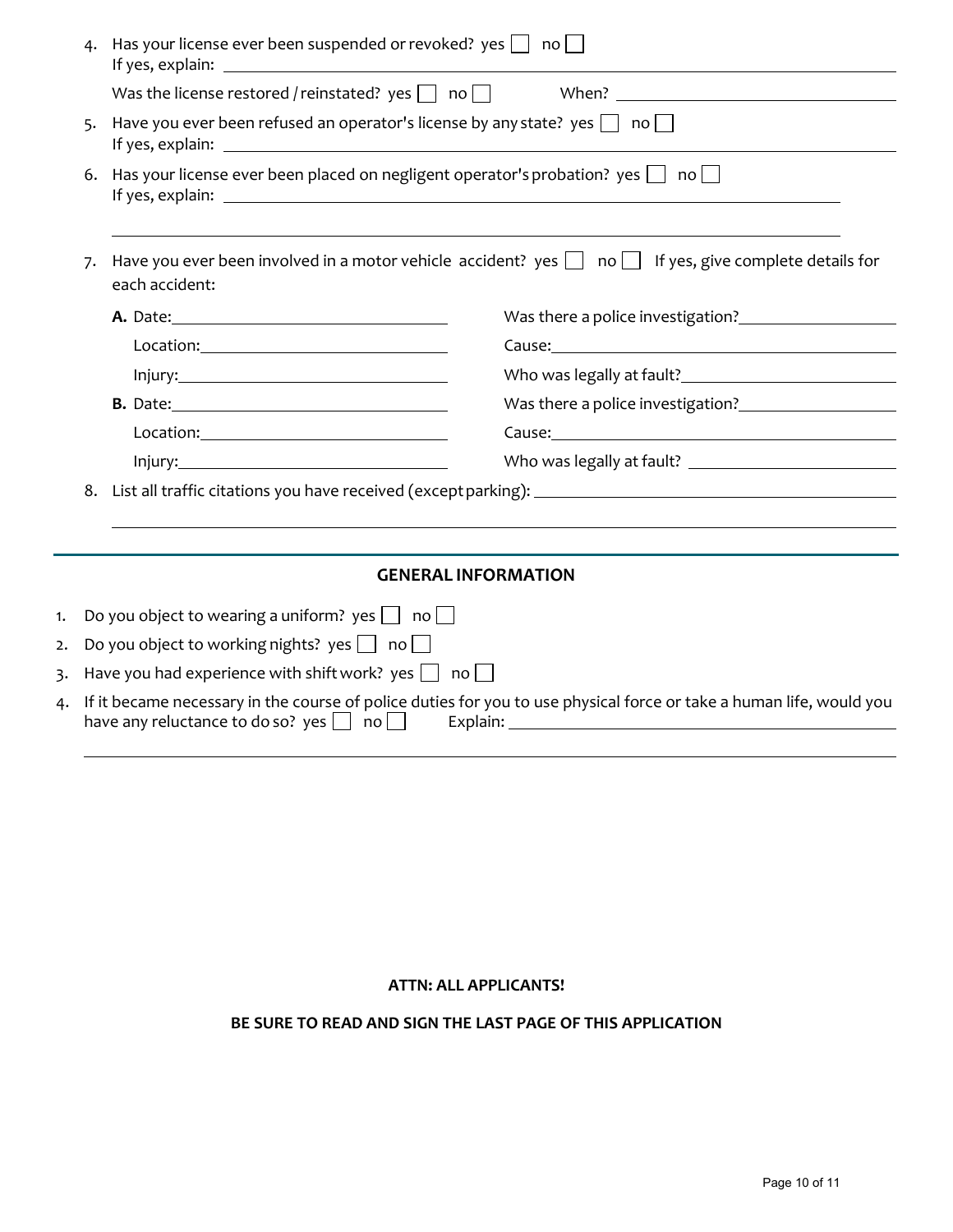|  | 4.                                                                                                                                      | Has your license ever been suspended or revoked? yes $\begin{bmatrix} 1 & no \end{bmatrix}$                                                                                                                                                                                                                                                                        |                                                                                                                                                                                                                                |  |  |  |
|--|-----------------------------------------------------------------------------------------------------------------------------------------|--------------------------------------------------------------------------------------------------------------------------------------------------------------------------------------------------------------------------------------------------------------------------------------------------------------------------------------------------------------------|--------------------------------------------------------------------------------------------------------------------------------------------------------------------------------------------------------------------------------|--|--|--|
|  |                                                                                                                                         |                                                                                                                                                                                                                                                                                                                                                                    |                                                                                                                                                                                                                                |  |  |  |
|  | 5.                                                                                                                                      | Have you ever been refused an operator's license by any state? yes $\Box$ no $\Box$                                                                                                                                                                                                                                                                                |                                                                                                                                                                                                                                |  |  |  |
|  |                                                                                                                                         | 6. Has your license ever been placed on negligent operator's probation? yes $\Box$ no $\Box$                                                                                                                                                                                                                                                                       |                                                                                                                                                                                                                                |  |  |  |
|  | Have you ever been involved in a motor vehicle accident? yes $\Box$ no $\Box$ If yes, give complete details for<br>7.<br>each accident: |                                                                                                                                                                                                                                                                                                                                                                    |                                                                                                                                                                                                                                |  |  |  |
|  |                                                                                                                                         | A. Date: <u>2008 and 2008</u>                                                                                                                                                                                                                                                                                                                                      | Was there a police investigation?<br><u> </u>                                                                                                                                                                                  |  |  |  |
|  |                                                                                                                                         |                                                                                                                                                                                                                                                                                                                                                                    |                                                                                                                                                                                                                                |  |  |  |
|  |                                                                                                                                         | Injury:                                                                                                                                                                                                                                                                                                                                                            | Who was legally at fault?<br><u> Who was legally at fault?</u>                                                                                                                                                                 |  |  |  |
|  |                                                                                                                                         |                                                                                                                                                                                                                                                                                                                                                                    | Was there a police investigation?<br><u> </u>                                                                                                                                                                                  |  |  |  |
|  |                                                                                                                                         | $\begin{picture}(150,10) \put(0,0){\vector(1,0){100}} \put(15,0){\vector(1,0){100}} \put(15,0){\vector(1,0){100}} \put(15,0){\vector(1,0){100}} \put(15,0){\vector(1,0){100}} \put(15,0){\vector(1,0){100}} \put(15,0){\vector(1,0){100}} \put(15,0){\vector(1,0){100}} \put(15,0){\vector(1,0){100}} \put(15,0){\vector(1,0){100}} \put(15,0){\vector(1,0){100}}$ | Cause: 2008 Cause: 2008 Cause: 2008 Cause: 2008 Cause: 2008 Cause: 2008 Cause: 2008 Cause: 2008 Cause: 2008 Cause: 2008 Cause: 2008 Cause: 2008 Cause: 2008 Cause: 2008 Cause: 2008 Cause: 2008 Cause: 2008 Cause: 2008 Cause: |  |  |  |
|  |                                                                                                                                         |                                                                                                                                                                                                                                                                                                                                                                    |                                                                                                                                                                                                                                |  |  |  |
|  |                                                                                                                                         |                                                                                                                                                                                                                                                                                                                                                                    |                                                                                                                                                                                                                                |  |  |  |
|  |                                                                                                                                         |                                                                                                                                                                                                                                                                                                                                                                    |                                                                                                                                                                                                                                |  |  |  |
|  |                                                                                                                                         |                                                                                                                                                                                                                                                                                                                                                                    |                                                                                                                                                                                                                                |  |  |  |
|  |                                                                                                                                         | <b>GENERAL INFORMATION</b>                                                                                                                                                                                                                                                                                                                                         |                                                                                                                                                                                                                                |  |  |  |
|  |                                                                                                                                         | 1. Do you object to wearing a uniform? $\,$ yes $\hskip10pt\Box\,$ no $\hskip10pt\Box\,$                                                                                                                                                                                                                                                                           |                                                                                                                                                                                                                                |  |  |  |
|  |                                                                                                                                         | 2. $\,$ Do you object to working nights? $\,$ yes $\Box \,$ no $\Box \,$                                                                                                                                                                                                                                                                                           |                                                                                                                                                                                                                                |  |  |  |
|  |                                                                                                                                         | 3. $\,$ Have you had experience with shift work? $\,$ yes $\Box\,$ no $\Box\,$                                                                                                                                                                                                                                                                                     |                                                                                                                                                                                                                                |  |  |  |

4. If it became necessary in the course of police duties for you to use physical force or take a human life, would you have any reluctance to do so?  $\,$  yes  $\bigsqcup\,$  no  $\bigsqcup\,$   $\,$   $\,$   $\,$  Explain:

## **ATTN: ALL APPLICANTS!**

#### **BE SURE TO READ AND SIGN THE LAST PAGE OF THIS APPLICATION**